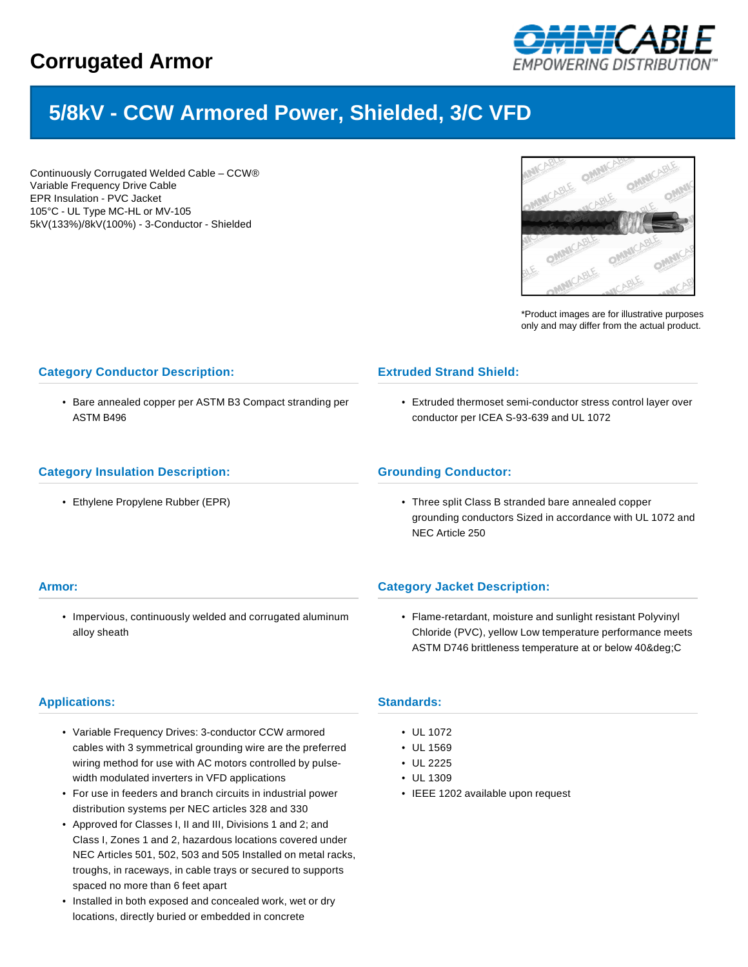

# **5/8kV - CCW Armored Power, Shielded, 3/C VFD**

Continuously Corrugated Welded Cable – CCW® Variable Frequency Drive Cable EPR Insulation - PVC Jacket 105°C - UL Type MC-HL or MV-105 5kV(133%)/8kV(100%) - 3-Conductor - Shielded



\*Product images are for illustrative purposes only and may differ from the actual product.

## **Category Conductor Description:**

• Bare annealed copper per ASTM B3 Compact stranding per ASTM B496

### **Extruded Strand Shield:**

• Extruded thermoset semi-conductor stress control layer over conductor per ICEA S-93-639 and UL 1072

#### **Category Insulation Description:**

• Ethylene Propylene Rubber (EPR)

#### **Grounding Conductor:**

• Three split Class B stranded bare annealed copper grounding conductors Sized in accordance with UL 1072 and NEC Article 250

#### **Armor:**

• Impervious, continuously welded and corrugated aluminum alloy sheath

# **Category Jacket Description:**

• Flame-retardant, moisture and sunlight resistant Polyvinyl Chloride (PVC), yellow Low temperature performance meets ASTM D746 brittleness temperature at or below 40&deq;C

#### **Applications:**

- Variable Frequency Drives: 3-conductor CCW armored cables with 3 symmetrical grounding wire are the preferred wiring method for use with AC motors controlled by pulsewidth modulated inverters in VFD applications
- For use in feeders and branch circuits in industrial power distribution systems per NEC articles 328 and 330
- Approved for Classes I, II and III, Divisions 1 and 2; and Class I, Zones 1 and 2, hazardous locations covered under NEC Articles 501, 502, 503 and 505 Installed on metal racks, troughs, in raceways, in cable trays or secured to supports spaced no more than 6 feet apart
- Installed in both exposed and concealed work, wet or dry locations, directly buried or embedded in concrete

#### **Standards:**

- UL 1072
- UL 1569
- UL 2225
- UL 1309
- IEEE 1202 available upon request